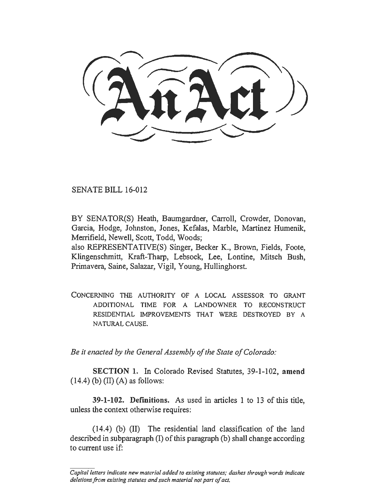SENATE BILL 16-012

BY SENATOR(S) Heath, Baumgardner, Carroll, Crowder, Donovan, Garcia, Hodge, Johnston, Jones, Kefalas, Marble, Martinez Humenik, Merrifield, Newell, Scott, Todd, Woods;

also REPRESENTATIVE(S) Singer, Becker K., Brown, Fields, Foote, Klingenschmitt, Kraft-Tharp, Lebsock, Lee, Lontine, Mitsch Bush, Primavera, Saine, Salazar, Vigil, Young, Hullinghorst.

CONCERNING THE AUTHORITY OF A LOCAL ASSESSOR TO GRANT ADDITIONAL TIME FOR A LANDOWNER TO RECONSTRUCT RESIDENTIAL IMPROVEMENTS THAT WERE DESTROYED BY A NATURAL CAUSE.

*Be it enacted by the General Assembly of the State of Colorado:* 

SECTION 1. In Colorado Revised Statutes, 39-1-102, amend  $(14.4)$  (b) (II) (A) as follows:

39-1-102. Definitions. As used in articles I to 13 of this title, unless the context otherwise requires:

(14.4) (b) (II) The residential land classification of the land described in subparagraph (I) of this paragraph (b) shall change according to current use if:

*Capital letters indicate new material added to existing statutes; dashes through words indicate deletions from existing statutes and such material not part of act.*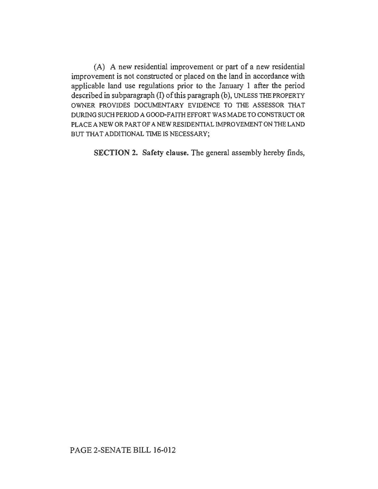(A) A new residential improvement or part of a new residential improvement is not constructed or placed on the land in accordance with applicable land use regulations prior to the January 1 after the period described in subparagraph  $(I)$  of this paragraph  $(b)$ , UNLESS THE PROPERTY OWNER PROVIDES DOCUMENTARY EVIDENCE TO THE ASSESSOR THAT DURING SUCH PERJOD A GOOD-F AlTII EFFORT WAS MADE TO CONSTRUCT OR PLACE A NEW OR PART OF A NEW RESIDENTIAL IMPROVEMENT ON THE LAND BUT THAT ADDITIONAL TIME IS NECESSARY;

SECTION 2. Safety clause. The general assembly hereby finds,